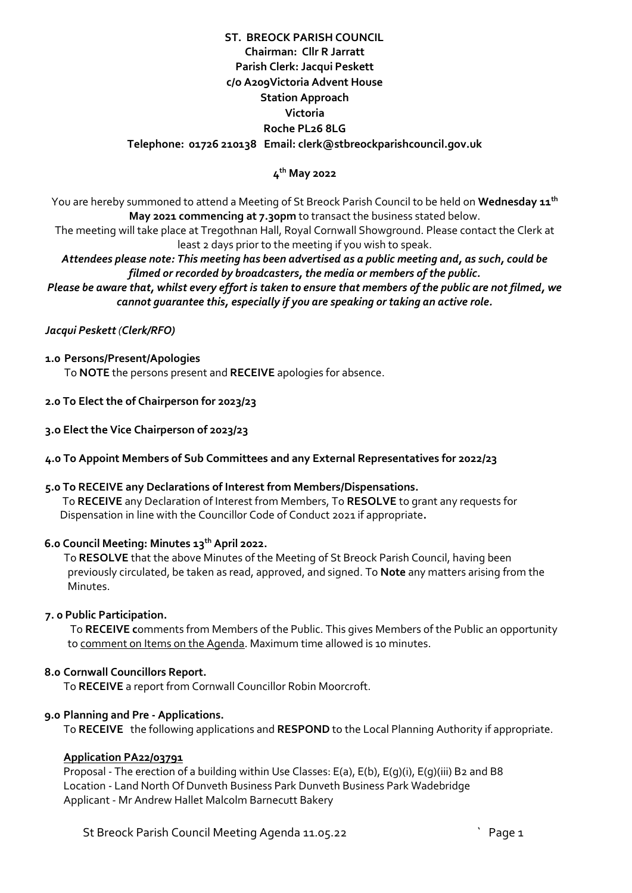# **ST. BREOCK PARISH COUNCIL Chairman: Cllr R Jarratt Parish Clerk: Jacqui Peskett c/o A209Victoria Advent House Station Approach Victoria Roche PL26 8LG Telephone: 01726 210138 Email: clerk@stbreockparishcouncil.gov.uk**

## **4 th May 2022**

You are hereby summoned to attend a Meeting of St Breock Parish Council to be held on **Wednesday 11 th May 2021 commencing at 7.30pm** to transact the business stated below.

The meeting will take place at Tregothnan Hall, Royal Cornwall Showground. Please contact the Clerk at least 2 days prior to the meeting if you wish to speak.

*Attendees please note: This meeting has been advertised as a public meeting and, as such, could be filmed or recorded by broadcasters, the media or members of the public.*

*Please be aware that, whilst every effort is taken to ensure that members of the public are not filmed, we cannot guarantee this, especially if you are speaking or taking an active role.*

## *Jacqui Peskett (Clerk/RFO)*

### **1.0 Persons/Present/Apologies**

To **NOTE** the persons present and **RECEIVE** apologies for absence.

- **2.0 To Elect the of Chairperson for 2023/23**
- **3.o Elect the Vice Chairperson of 2023/23**
- **4.0 To Appoint Members of Sub Committees and any External Representatives for 2022/23**

#### **5.0 To RECEIVE any Declarations of Interest from Members/Dispensations.**

To **RECEIVE** any Declaration of Interest from Members, To **RESOLVE** to grant any requests for Dispensation in line with the Councillor Code of Conduct 2021 if appropriate**.**

# **6.0 Council Meeting: Minutes 13th April 2022.**

To **RESOLVE** that the above Minutes of the Meeting of St Breock Parish Council, having been previously circulated, be taken as read, approved, and signed. To **Note** any matters arising from the Minutes.

### **7. 0 Public Participation.**

To **RECEIVE c**omments from Members of the Public. This gives Members of the Public an opportunity to comment on Items on the Agenda. Maximum time allowed is 10 minutes.

### **8.0 Cornwall Councillors Report.**

To **RECEIVE** a report from Cornwall Councillor Robin Moorcroft.

#### **9.0 Planning and Pre - Applications.**

To **RECEIVE** the following applications and **RESPOND** to the Local Planning Authority if appropriate.

#### **Application PA22/03791**

Proposal - The erection of a building within Use Classes: E(a), E(b), E(g)(ii, E(g)(iii) B2 and B8 Location - Land North Of Dunveth Business Park Dunveth Business Park Wadebridge Applicant - Mr Andrew Hallet Malcolm Barnecutt Bakery

St Breock Parish Council Meeting Agenda 11.05.22 **The Council St Breads** Council Meeting Agenda 11.05.22